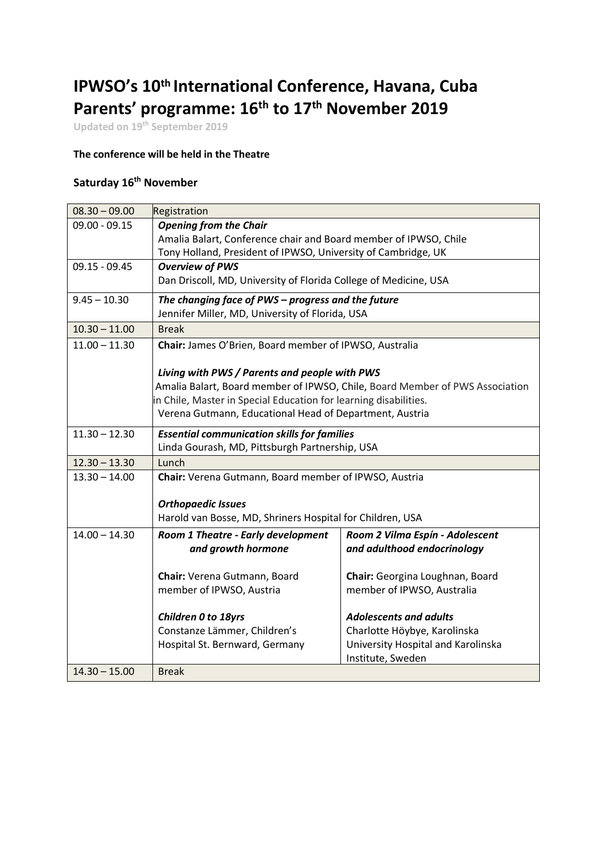## **IPWSO's 10th International Conference, Havana, Cuba Parents' programme: 16th to 17th November 2019**

**Updated on 19th September 2019**

## **The conference will be held in the Theatre**

## **Saturday 16th November**

| $08.30 - 09.00$ | Registration                                                                 |                                    |  |  |  |
|-----------------|------------------------------------------------------------------------------|------------------------------------|--|--|--|
| $09.00 - 09.15$ | <b>Opening from the Chair</b>                                                |                                    |  |  |  |
|                 | Amalia Balart, Conference chair and Board member of IPWSO, Chile             |                                    |  |  |  |
|                 | Tony Holland, President of IPWSO, University of Cambridge, UK                |                                    |  |  |  |
| $09.15 - 09.45$ | <b>Overview of PWS</b>                                                       |                                    |  |  |  |
|                 | Dan Driscoll, MD, University of Florida College of Medicine, USA             |                                    |  |  |  |
| $9.45 - 10.30$  | The changing face of PWS - progress and the future                           |                                    |  |  |  |
|                 | Jennifer Miller, MD, University of Florida, USA                              |                                    |  |  |  |
| $10.30 - 11.00$ | <b>Break</b>                                                                 |                                    |  |  |  |
| $11.00 - 11.30$ | Chair: James O'Brien, Board member of IPWSO, Australia                       |                                    |  |  |  |
|                 |                                                                              |                                    |  |  |  |
|                 | Living with PWS / Parents and people with PWS                                |                                    |  |  |  |
|                 | Amalia Balart, Board member of IPWSO, Chile, Board Member of PWS Association |                                    |  |  |  |
|                 | in Chile, Master in Special Education for learning disabilities.             |                                    |  |  |  |
|                 | Verena Gutmann, Educational Head of Department, Austria                      |                                    |  |  |  |
| $11.30 - 12.30$ | <b>Essential communication skills for families</b>                           |                                    |  |  |  |
|                 | Linda Gourash, MD, Pittsburgh Partnership, USA                               |                                    |  |  |  |
| $12.30 - 13.30$ | Lunch                                                                        |                                    |  |  |  |
| $13.30 - 14.00$ | Chair: Verena Gutmann, Board member of IPWSO, Austria                        |                                    |  |  |  |
|                 |                                                                              |                                    |  |  |  |
|                 | <b>Orthopaedic Issues</b>                                                    |                                    |  |  |  |
|                 | Harold van Bosse, MD, Shriners Hospital for Children, USA                    |                                    |  |  |  |
| $14.00 - 14.30$ | Room 1 Theatre - Early development                                           | Room 2 Vilma Espín - Adolescent    |  |  |  |
|                 | and growth hormone                                                           | and adulthood endocrinology        |  |  |  |
|                 | Chair: Verena Gutmann, Board                                                 | Chair: Georgina Loughnan, Board    |  |  |  |
|                 | member of IPWSO, Austria                                                     | member of IPWSO, Australia         |  |  |  |
|                 |                                                                              |                                    |  |  |  |
|                 | Children 0 to 18yrs                                                          | <b>Adolescents and adults</b>      |  |  |  |
|                 | Constanze Lämmer, Children's                                                 | Charlotte Höybye, Karolinska       |  |  |  |
|                 | Hospital St. Bernward, Germany                                               | University Hospital and Karolinska |  |  |  |
|                 |                                                                              | Institute, Sweden                  |  |  |  |
| $14.30 - 15.00$ | <b>Break</b>                                                                 |                                    |  |  |  |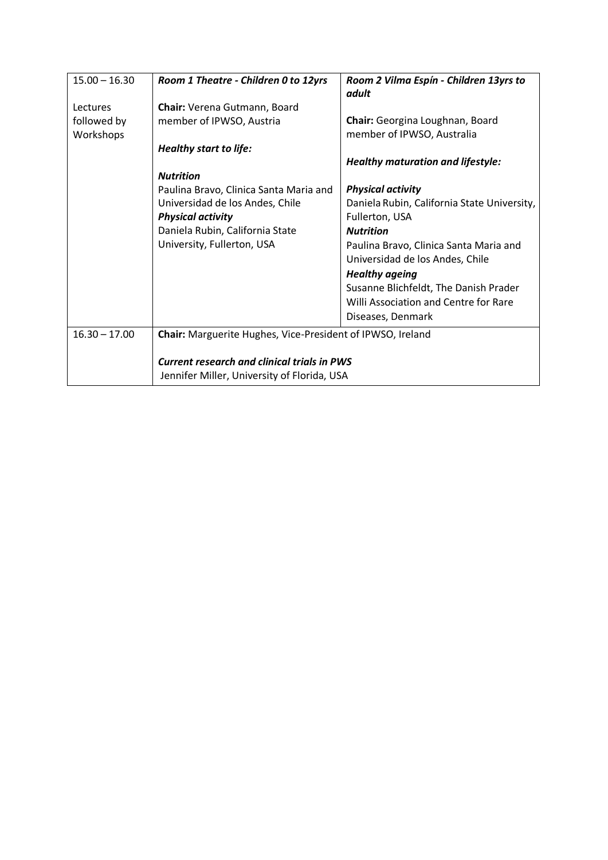| $15.00 - 16.30$ | Room 1 Theatre - Children 0 to 12yrs                                                              | Room 2 Vilma Espín - Children 13yrs to<br>adult |  |  |
|-----------------|---------------------------------------------------------------------------------------------------|-------------------------------------------------|--|--|
| Lectures        | Chair: Verena Gutmann, Board                                                                      |                                                 |  |  |
| followed by     | member of IPWSO, Austria                                                                          | Chair: Georgina Loughnan, Board                 |  |  |
| Workshops       |                                                                                                   | member of IPWSO, Australia                      |  |  |
|                 | <b>Healthy start to life:</b>                                                                     |                                                 |  |  |
|                 |                                                                                                   | <b>Healthy maturation and lifestyle:</b>        |  |  |
|                 | <b>Nutrition</b>                                                                                  |                                                 |  |  |
|                 | Paulina Bravo, Clinica Santa Maria and                                                            | <b>Physical activity</b>                        |  |  |
|                 | Universidad de los Andes, Chile                                                                   | Daniela Rubin, California State University,     |  |  |
|                 | <b>Physical activity</b>                                                                          | Fullerton, USA                                  |  |  |
|                 | Daniela Rubin, California State                                                                   | <b>Nutrition</b>                                |  |  |
|                 | University, Fullerton, USA                                                                        | Paulina Bravo, Clinica Santa Maria and          |  |  |
|                 |                                                                                                   | Universidad de los Andes, Chile                 |  |  |
|                 |                                                                                                   | <b>Healthy ageing</b>                           |  |  |
|                 |                                                                                                   | Susanne Blichfeldt, The Danish Prader           |  |  |
|                 |                                                                                                   | Willi Association and Centre for Rare           |  |  |
|                 |                                                                                                   | Diseases, Denmark                               |  |  |
| $16.30 - 17.00$ | Chair: Marguerite Hughes, Vice-President of IPWSO, Ireland                                        |                                                 |  |  |
|                 | <b>Current research and clinical trials in PWS</b><br>Jennifer Miller, University of Florida, USA |                                                 |  |  |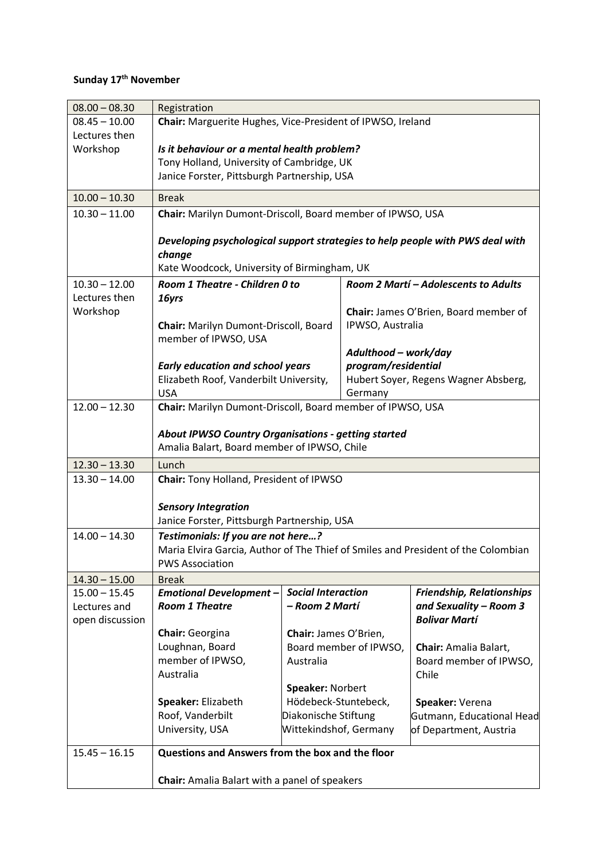## **Sunday 17th November**

| $08.00 - 08.30$ | Registration                                                                                                    |                        |                                       |                                      |  |
|-----------------|-----------------------------------------------------------------------------------------------------------------|------------------------|---------------------------------------|--------------------------------------|--|
| $08.45 - 10.00$ | Chair: Marguerite Hughes, Vice-President of IPWSO, Ireland                                                      |                        |                                       |                                      |  |
| Lectures then   |                                                                                                                 |                        |                                       |                                      |  |
| Workshop        | Is it behaviour or a mental health problem?                                                                     |                        |                                       |                                      |  |
|                 | Tony Holland, University of Cambridge, UK                                                                       |                        |                                       |                                      |  |
|                 | Janice Forster, Pittsburgh Partnership, USA                                                                     |                        |                                       |                                      |  |
| $10.00 - 10.30$ | <b>Break</b>                                                                                                    |                        |                                       |                                      |  |
| $10.30 - 11.00$ | Chair: Marilyn Dumont-Driscoll, Board member of IPWSO, USA                                                      |                        |                                       |                                      |  |
|                 |                                                                                                                 |                        |                                       |                                      |  |
|                 | Developing psychological support strategies to help people with PWS deal with                                   |                        |                                       |                                      |  |
|                 | change                                                                                                          |                        |                                       |                                      |  |
|                 | Kate Woodcock, University of Birmingham, UK                                                                     |                        |                                       |                                      |  |
| $10.30 - 12.00$ | Room 1 Theatre - Children 0 to                                                                                  |                        |                                       | Room 2 Martí - Adolescents to Adults |  |
| Lectures then   | 16yrs                                                                                                           |                        |                                       |                                      |  |
| Workshop        |                                                                                                                 |                        | Chair: James O'Brien, Board member of |                                      |  |
|                 | Chair: Marilyn Dumont-Driscoll, Board<br>member of IPWSO, USA                                                   |                        | IPWSO, Australia                      |                                      |  |
|                 |                                                                                                                 |                        | Adulthood - work/day                  |                                      |  |
|                 | <b>Early education and school years</b>                                                                         |                        | program/residential                   |                                      |  |
|                 | Elizabeth Roof, Vanderbilt University,                                                                          |                        |                                       | Hubert Soyer, Regens Wagner Absberg, |  |
|                 | <b>USA</b>                                                                                                      |                        | Germany                               |                                      |  |
| $12.00 - 12.30$ | Chair: Marilyn Dumont-Driscoll, Board member of IPWSO, USA                                                      |                        |                                       |                                      |  |
|                 |                                                                                                                 |                        |                                       |                                      |  |
|                 | <b>About IPWSO Country Organisations - getting started</b>                                                      |                        |                                       |                                      |  |
|                 | Amalia Balart, Board member of IPWSO, Chile                                                                     |                        |                                       |                                      |  |
| $12.30 - 13.30$ | Lunch                                                                                                           |                        |                                       |                                      |  |
| $13.30 - 14.00$ | Chair: Tony Holland, President of IPWSO                                                                         |                        |                                       |                                      |  |
|                 |                                                                                                                 |                        |                                       |                                      |  |
|                 | <b>Sensory Integration</b>                                                                                      |                        |                                       |                                      |  |
|                 | Janice Forster, Pittsburgh Partnership, USA                                                                     |                        |                                       |                                      |  |
| $14.00 - 14.30$ | Testimonials: If you are not here?                                                                              |                        |                                       |                                      |  |
|                 | Maria Elvira Garcia, Author of The Thief of Smiles and President of the Colombian<br><b>PWS Association</b>     |                        |                                       |                                      |  |
| $14.30 - 15.00$ |                                                                                                                 |                        |                                       |                                      |  |
| $15.00 - 15.45$ | <b>Break</b><br><b>Social Interaction</b><br><b>Friendship, Relationships</b><br><b>Emotional Development -</b> |                        |                                       |                                      |  |
| Lectures and    | <b>Room 1 Theatre</b>                                                                                           | - Room 2 Martí         |                                       | and Sexuality - Room 3               |  |
| open discussion |                                                                                                                 |                        |                                       | <b>Bolivar Martí</b>                 |  |
|                 | Chair: Georgina                                                                                                 | Chair: James O'Brien,  |                                       |                                      |  |
|                 | Loughnan, Board                                                                                                 | Board member of IPWSO, |                                       | Chair: Amalia Balart,                |  |
|                 | member of IPWSO,                                                                                                | Australia              |                                       | Board member of IPWSO,               |  |
|                 | Australia                                                                                                       |                        |                                       | Chile                                |  |
|                 |                                                                                                                 | Speaker: Norbert       |                                       |                                      |  |
|                 | Speaker: Elizabeth                                                                                              | Hödebeck-Stuntebeck,   |                                       | Speaker: Verena                      |  |
|                 | Roof, Vanderbilt                                                                                                | Diakonische Stiftung   |                                       | Gutmann, Educational Head            |  |
|                 | University, USA                                                                                                 | Wittekindshof, Germany |                                       | of Department, Austria               |  |
| $15.45 - 16.15$ | Questions and Answers from the box and the floor                                                                |                        |                                       |                                      |  |
|                 |                                                                                                                 |                        |                                       |                                      |  |
|                 | Chair: Amalia Balart with a panel of speakers                                                                   |                        |                                       |                                      |  |